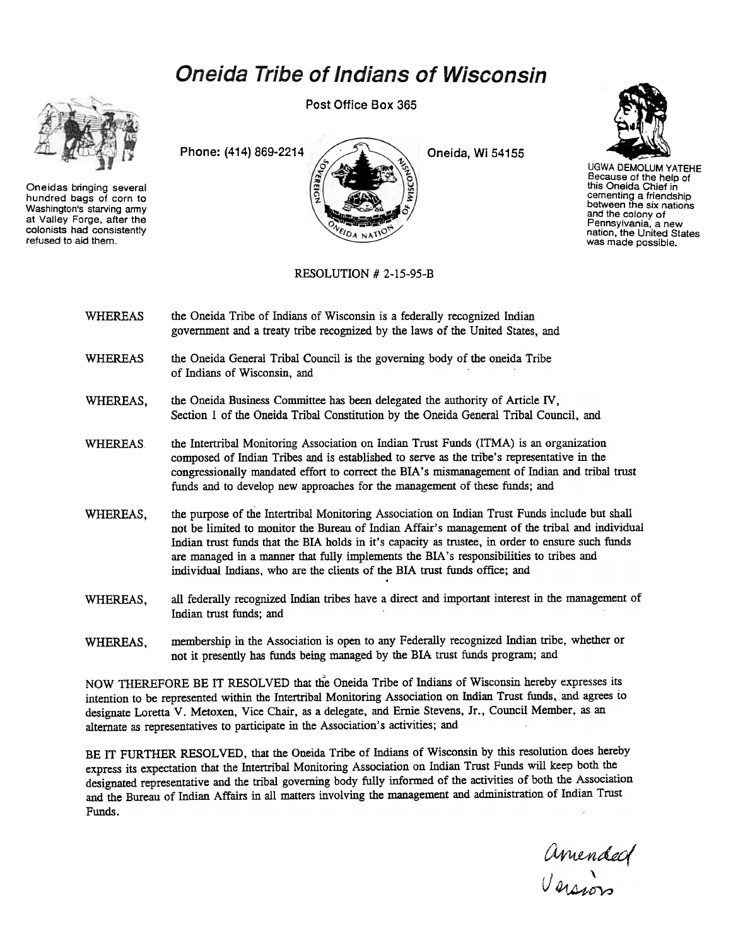## **Oneida Tribe of Indians of Wisconsin**



Oneidas bringing several hundred bags of corn to Washington's starving army at Valley Forge, after the colonists had consistently refused to aid them.

Post Office Box 365





UGWA DEMOLUM YATEHE Because of the help of this Oneida Chief in cementing a friendship between the six nations and the colony of Pennsylvania. a new nation, the United States was made possible.

RESOLUTION # 2-15-95-B

- WHEREAS the Oneida Tribe of Indians of Wisconsin is a federally recognized Indian government and a treaty tribe recognized by the laws of the United States, and
- the Oneida General Tribal Council is the governing body of the oneida Tribe of Indians of Wisconsin, and WHEREAS,
- WHEREAS, the Oneida Business Committee has been delegated the authority of Article IV, Section 1 of the Oneida Tribal Constitution by the Oneida General Tribal Council, and
- WHEREAS. the Intertribal Monitoring Association on Indian Trust Funds (ITMA) is an organization composed of Indian Tribes and is established to serve as the tribe's representative in the congressionally mandated effort to correct the BIA's mismanagement of Indian and tribal trust funds and to develop new approaches for the management of these funds; and
- the purpose of the Intertribal Monitoring Association on Indian Trust Funds include but shall not be limited to monitor the Bureau of Indian Affair's management of the tribal and individual Indian trust funds that the BIA holds in it's capacity as trustee, in order to ensure such funds are managed in a manner that fully implements the BIA's responsibilities to tribes and individual Indians, who are the clients of the BIA trust funds office; and . WHEREAS,
- all federally recognized Indian tribes have a direct and important interest in the management of Indian trust funds; and WHEREAS,
- membership in the Association is open to any Federally recognized Indian tribe, whether or not it presently has funds being managed by the BIA trust funds program; and WHEREAS,

" NOW THEREFORE BE IT RESOLVED that the Oneida Tribe of Indians of Wisconsin hereby expresses its intention to be represented within the Intertribal Monitoring Association on Indian Trust funds, and agrees to designate Loretta V. Metoxen, Vice Chair, as a delegate, and Ernie Stevens, Jr., Council Member, as an alternate as representatives to participate in the Association's activities; and

BE IT FURTHER RESOLVED, that the Oneida Tribe of Indians of Wisconsin by this resolution does hereby express its expectation that the Intertribal Monitoring Association on Indian Trust Funds will keep both the designated representative and the tribal governing body fully informed of the activities of both the Association and the Bureau of Indian Affairs in all matters involving the management and administration of Indian Trust Funds.

Amended  $U_{\rm c}$   $\lambda$ I)A~-DV?